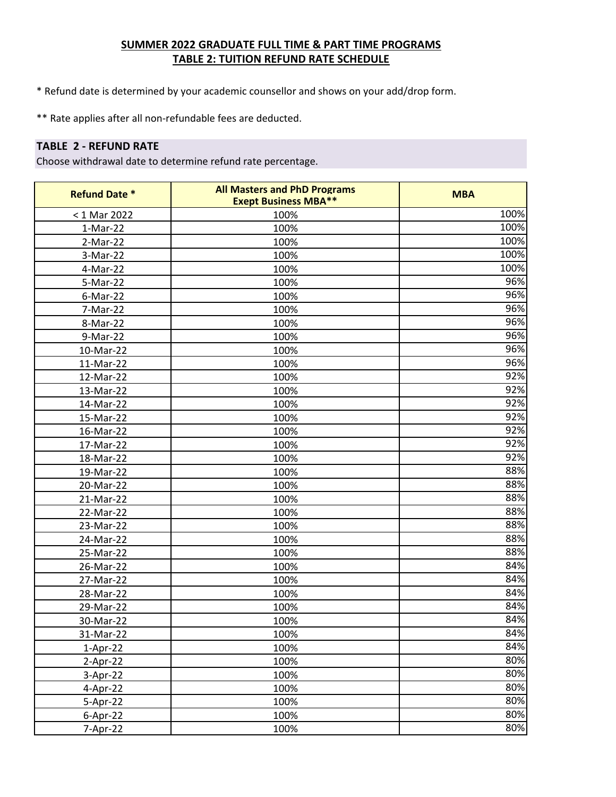\* Refund date is determined by your academic counsellor and shows on your add/drop form.

\*\* Rate applies after all non-refundable fees are deducted.

# **TABLE 2 - REFUND RATE**

| <b>Refund Date *</b> | <b>All Masters and PhD Programs</b><br><b>Exept Business MBA**</b> | <b>MBA</b> |
|----------------------|--------------------------------------------------------------------|------------|
| < 1 Mar 2022         | 100%                                                               | 100%       |
| $1-Mar-22$           | 100%                                                               | 100%       |
| 2-Mar-22             | 100%                                                               | 100%       |
| 3-Mar-22             | 100%                                                               | 100%       |
| 4-Mar-22             | 100%                                                               | 100%       |
| 5-Mar-22             | 100%                                                               | 96%        |
| $6$ -Mar-22          | 100%                                                               | 96%        |
| 7-Mar-22             | 100%                                                               | 96%        |
| 8-Mar-22             | 100%                                                               | 96%        |
| 9-Mar-22             | 100%                                                               | 96%        |
| 10-Mar-22            | 100%                                                               | 96%        |
| 11-Mar-22            | 100%                                                               | 96%        |
| 12-Mar-22            | 100%                                                               | 92%        |
| 13-Mar-22            | 100%                                                               | 92%        |
| 14-Mar-22            | 100%                                                               | 92%        |
| 15-Mar-22            | 100%                                                               | 92%        |
| 16-Mar-22            | 100%                                                               | 92%        |
| 17-Mar-22            | 100%                                                               | 92%        |
| 18-Mar-22            | 100%                                                               | 92%        |
| 19-Mar-22            | 100%                                                               | 88%        |
| 20-Mar-22            | 100%                                                               | 88%        |
| 21-Mar-22            | 100%                                                               | 88%        |
| 22-Mar-22            | 100%                                                               | 88%        |
| 23-Mar-22            | 100%                                                               | 88%        |
| 24-Mar-22            | 100%                                                               | 88%        |
| 25-Mar-22            | 100%                                                               | 88%        |
| 26-Mar-22            | 100%                                                               | 84%        |
| 27-Mar-22            | 100%                                                               | 84%        |
| 28-Mar-22            | 100%                                                               | 84%        |
| 29-Mar-22            | 100%                                                               | 84%        |
| 30-Mar-22            | 100%                                                               | 84%        |
| 31-Mar-22            | 100%                                                               | 84%        |
| $1-Apr-22$           | 100%                                                               | 84%        |
| $2-Apr-22$           | 100%                                                               | 80%        |
| 3-Apr-22             | 100%                                                               | 80%        |
| 4-Apr-22             | 100%                                                               | 80%        |
| 5-Apr-22             | 100%                                                               | 80%        |
| $6-Apr-22$           | 100%                                                               | 80%        |
| 7-Apr-22             | 100%                                                               | 80%        |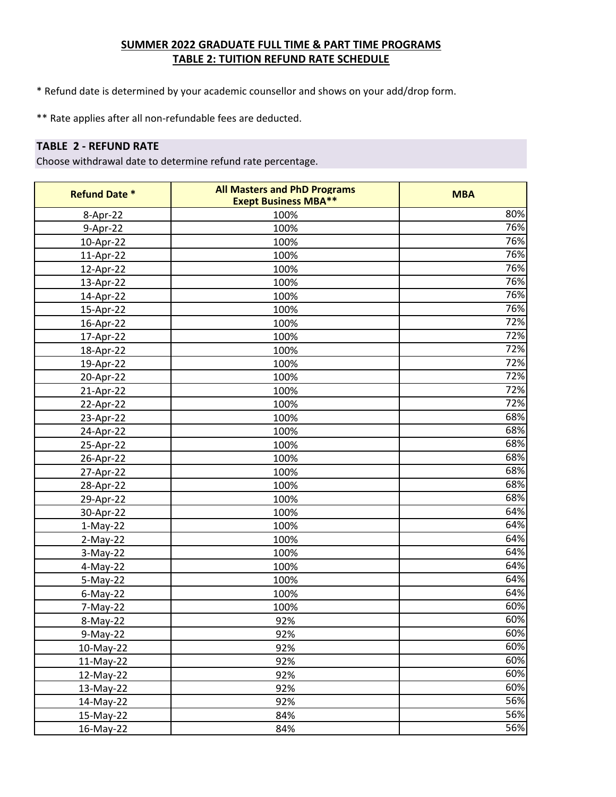\* Refund date is determined by your academic counsellor and shows on your add/drop form.

\*\* Rate applies after all non-refundable fees are deducted.

## **TABLE 2 - REFUND RATE**

| <b>Refund Date *</b> | <b>All Masters and PhD Programs</b><br><b>Exept Business MBA**</b> | <b>MBA</b> |
|----------------------|--------------------------------------------------------------------|------------|
| 8-Apr-22             | 100%                                                               | 80%        |
| 9-Apr-22             | 100%                                                               | 76%        |
| 10-Apr-22            | 100%                                                               | 76%        |
| 11-Apr-22            | 100%                                                               | 76%        |
| 12-Apr-22            | 100%                                                               | 76%        |
| 13-Apr-22            | 100%                                                               | 76%        |
| 14-Apr-22            | 100%                                                               | 76%        |
| 15-Apr-22            | 100%                                                               | 76%        |
| 16-Apr-22            | 100%                                                               | 72%        |
| 17-Apr-22            | 100%                                                               | 72%        |
| 18-Apr-22            | 100%                                                               | 72%        |
| 19-Apr-22            | 100%                                                               | 72%        |
| 20-Apr-22            | 100%                                                               | 72%        |
| 21-Apr-22            | 100%                                                               | 72%        |
| 22-Apr-22            | 100%                                                               | 72%        |
| 23-Apr-22            | 100%                                                               | 68%        |
| 24-Apr-22            | 100%                                                               | 68%        |
| 25-Apr-22            | 100%                                                               | 68%        |
| 26-Apr-22            | 100%                                                               | 68%        |
| 27-Apr-22            | 100%                                                               | 68%        |
| 28-Apr-22            | 100%                                                               | 68%        |
| 29-Apr-22            | 100%                                                               | 68%        |
| 30-Apr-22            | 100%                                                               | 64%        |
| $1-May-22$           | 100%                                                               | 64%        |
| $2-May-22$           | 100%                                                               | 64%        |
| 3-May-22             | 100%                                                               | 64%        |
| 4-May-22             | 100%                                                               | 64%        |
| 5-May-22             | 100%                                                               | 64%        |
| $6$ -May-22          | 100%                                                               | 64%        |
| 7-May-22             | 100%                                                               | 60%        |
| 8-May-22             | 92%                                                                | 60%        |
| 9-May-22             | 92%                                                                | 60%        |
| 10-May-22            | 92%                                                                | 60%        |
| 11-May-22            | 92%                                                                | 60%        |
| 12-May-22            | 92%                                                                | 60%        |
| 13-May-22            | 92%                                                                | 60%        |
| 14-May-22            | 92%                                                                | 56%        |
| 15-May-22            | 84%                                                                | 56%        |
| 16-May-22            | 84%                                                                | 56%        |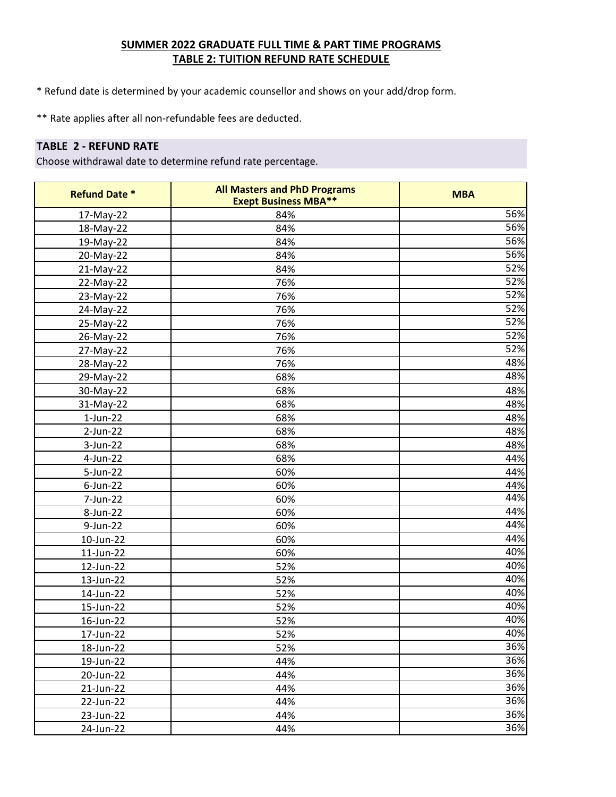\* Refund date is determined by your academic counsellor and shows on your add/drop form.

\*\* Rate applies after all non-refundable fees are deducted.

# **TABLE 2 - REFUND RATE**

| <b>Refund Date *</b> | <b>All Masters and PhD Programs</b><br><b>Exept Business MBA**</b> | <b>MBA</b> |
|----------------------|--------------------------------------------------------------------|------------|
| 17-May-22            | 84%                                                                | 56%        |
| 18-May-22            | 84%                                                                | 56%        |
| 19-May-22            | 84%                                                                | 56%        |
| 20-May-22            | 84%                                                                | 56%        |
| 21-May-22            | 84%                                                                | 52%        |
| 22-May-22            | 76%                                                                | 52%        |
| 23-May-22            | 76%                                                                | 52%        |
| 24-May-22            | 76%                                                                | 52%        |
| 25-May-22            | 76%                                                                | 52%        |
| 26-May-22            | 76%                                                                | 52%        |
| 27-May-22            | 76%                                                                | 52%        |
| 28-May-22            | 76%                                                                | 48%        |
| 29-May-22            | 68%                                                                | 48%        |
| 30-May-22            | 68%                                                                | 48%        |
| 31-May-22            | 68%                                                                | 48%        |
| $1$ -Jun-22          | 68%                                                                | 48%        |
| $2$ -Jun-22          | 68%                                                                | 48%        |
| 3-Jun-22             | 68%                                                                | 48%        |
| 4-Jun-22             | 68%                                                                | 44%        |
| 5-Jun-22             | 60%                                                                | 44%        |
| $6$ -Jun-22          | 60%                                                                | 44%        |
| 7-Jun-22             | 60%                                                                | 44%        |
| 8-Jun-22             | 60%                                                                | 44%        |
| 9-Jun-22             | 60%                                                                | 44%        |
| 10-Jun-22            | 60%                                                                | 44%        |
| 11-Jun-22            | 60%                                                                | 40%        |
| 12-Jun-22            | 52%                                                                | 40%        |
| 13-Jun-22            | 52%                                                                | 40%        |
| 14-Jun-22            | 52%                                                                | 40%        |
| 15-Jun-22            | 52%                                                                | 40%        |
| 16-Jun-22            | 52%                                                                | 40%        |
| 17-Jun-22            | 52%                                                                | 40%        |
| 18-Jun-22            | 52%                                                                | 36%        |
| 19-Jun-22            | 44%                                                                | 36%        |
| 20-Jun-22            | 44%                                                                | 36%        |
| 21-Jun-22            | 44%                                                                | 36%        |
| 22-Jun-22            | 44%                                                                | 36%        |
| 23-Jun-22            | 44%                                                                | 36%        |
| 24-Jun-22            | 44%                                                                | 36%        |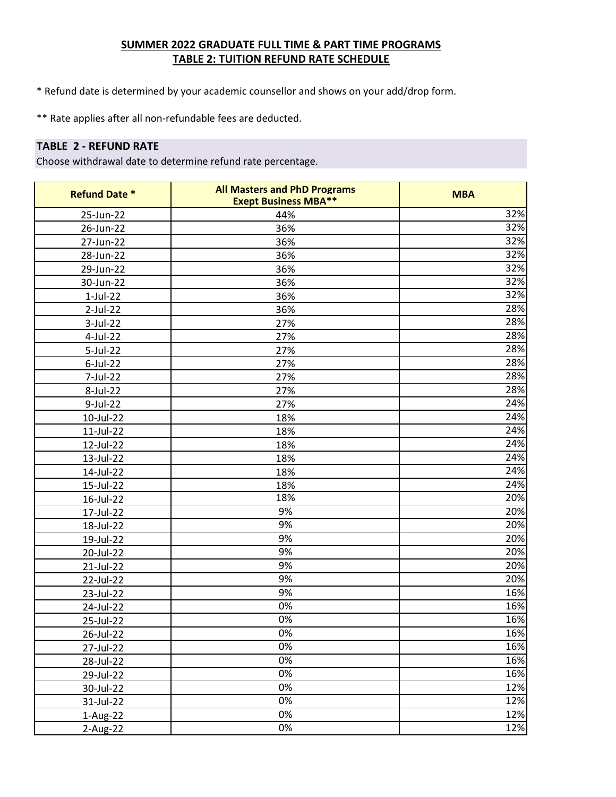\* Refund date is determined by your academic counsellor and shows on your add/drop form.

\*\* Rate applies after all non-refundable fees are deducted.

# **TABLE 2 - REFUND RATE**

| <b>Refund Date *</b> | <b>All Masters and PhD Programs</b><br><b>Exept Business MBA**</b> | <b>MBA</b>        |
|----------------------|--------------------------------------------------------------------|-------------------|
| 25-Jun-22            | 44%                                                                | 32%               |
| 26-Jun-22            | 36%                                                                | 32%               |
| 27-Jun-22            | 36%                                                                | 32%               |
| 28-Jun-22            | 36%                                                                | 32%               |
| 29-Jun-22            | 36%                                                                | 32%               |
| 30-Jun-22            | 36%                                                                | $\overline{32}\%$ |
| $1-Jul-22$           | 36%                                                                | 32%               |
| 2-Jul-22             | 36%                                                                | 28%               |
| 3-Jul-22             | 27%                                                                | 28%               |
| 4-Jul-22             | 27%                                                                | 28%               |
| 5-Jul-22             | 27%                                                                | 28%               |
| 6-Jul-22             | 27%                                                                | 28%               |
| 7-Jul-22             | 27%                                                                | 28%               |
| 8-Jul-22             | 27%                                                                | 28%               |
| 9-Jul-22             | 27%                                                                | 24%               |
| 10-Jul-22            | 18%                                                                | 24%               |
| 11-Jul-22            | 18%                                                                | 24%               |
| 12-Jul-22            | 18%                                                                | 24%               |
| 13-Jul-22            | 18%                                                                | 24%               |
| 14-Jul-22            | 18%                                                                | 24%               |
| 15-Jul-22            | 18%                                                                | 24%               |
| 16-Jul-22            | 18%                                                                | 20%               |
| 17-Jul-22            | 9%                                                                 | 20%               |
| 18-Jul-22            | 9%                                                                 | 20%               |
| 19-Jul-22            | 9%                                                                 | 20%               |
| 20-Jul-22            | 9%                                                                 | 20%               |
| 21-Jul-22            | 9%                                                                 | 20%               |
| 22-Jul-22            | 9%                                                                 | 20%               |
| 23-Jul-22            | 9%                                                                 | 16%               |
| 24-Jul-22            | 0%                                                                 | 16%               |
| 25-Jul-22            | 0%                                                                 | 16%               |
| 26-Jul-22            | $0\%$                                                              | 16%               |
| 27-Jul-22            | 0%                                                                 | 16%               |
| 28-Jul-22            | 0%                                                                 | 16%               |
| 29-Jul-22            | 0%                                                                 | 16%               |
| 30-Jul-22            | 0%                                                                 | 12%               |
| 31-Jul-22            | 0%                                                                 | 12%               |
| $1-Aug-22$           | 0%                                                                 | 12%               |
| $2-Aug-22$           | 0%                                                                 | 12%               |